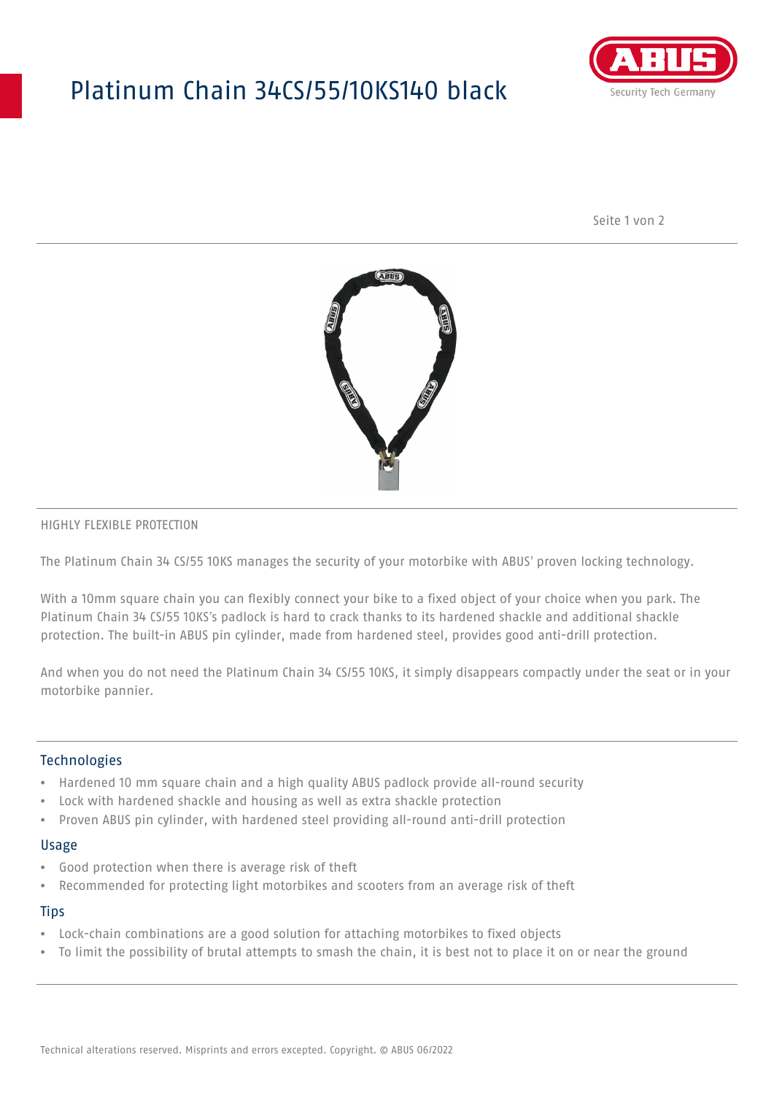# Platinum Chain 34CS/55/10KS140 black



Seite 1 von 2



### HIGHLY FLEXIBLE PROTECTION

The Platinum Chain 34 CS/55 10KS manages the security of your motorbike with ABUS' proven locking technology.

With a 10mm square chain you can flexibly connect your bike to a fixed object of your choice when you park. The Platinum Chain 34 CS/55 10KS's padlock is hard to crack thanks to its hardened shackle and additional shackle protection. The built-in ABUS pin cylinder, made from hardened steel, provides good anti-drill protection.

And when you do not need the Platinum Chain 34 CS/55 10KS, it simply disappears compactly under the seat or in your motorbike pannier.

### Technologies

- Hardened 10 mm square chain and a high quality ABUS padlock provide all-round security
- Lock with hardened shackle and housing as well as extra shackle protection
- Proven ABUS pin cylinder, with hardened steel providing all-round anti-drill protection

#### Usage

- Good protection when there is average risk of theft
- Recommended for protecting light motorbikes and scooters from an average risk of theft

## **Tips**

- Lock-chain combinations are a good solution for attaching motorbikes to fixed objects
- To limit the possibility of brutal attempts to smash the chain, it is best not to place it on or near the ground